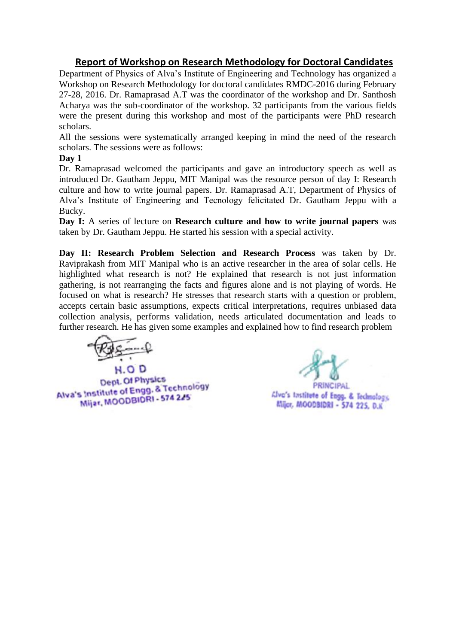## **Report of Workshop on Research Methodology for Doctoral Candidates**

Department of Physics of Alva's Institute of Engineering and Technology has organized a Workshop on Research Methodology for doctoral candidates RMDC-2016 during February 27-28, 2016. Dr. Ramaprasad A.T was the coordinator of the workshop and Dr. Santhosh Acharya was the sub-coordinator of the workshop. 32 participants from the various fields were the present during this workshop and most of the participants were PhD research scholars.

All the sessions were systematically arranged keeping in mind the need of the research scholars. The sessions were as follows:

**Day 1**

Dr. Ramaprasad welcomed the participants and gave an introductory speech as well as introduced Dr. Gautham Jeppu, MIT Manipal was the resource person of day I: Research culture and how to write journal papers. Dr. Ramaprasad A.T, Department of Physics of Alva's Institute of Engineering and Tecnology felicitated Dr. Gautham Jeppu with a Bucky.

**Day I:** A series of lecture on **Research culture and how to write journal papers** was taken by Dr. Gautham Jeppu. He started his session with a special activity.

**Day II: Research Problem Selection and Research Process** was taken by Dr. Raviprakash from MIT Manipal who is an active researcher in the area of solar cells. He highlighted what research is not? He explained that research is not just information gathering, is not rearranging the facts and figures alone and is not playing of words. He focused on what is research? He stresses that research starts with a question or problem, accepts certain basic assumptions, expects critical interpretations, requires unbiased data collection analysis, performs validation, needs articulated documentation and leads to further research. He has given some examples and explained how to find research problem

H.OD Dept. Of Physics Dept. Of Physics<br>Alva's Institute of Engg. & Technology Mijar, MOODBIDRI - 574 225

PRINCIPAL

Alvo's Institute of Engg. & Technology, Mijor, MOODBIDRI - 574 225, D.K.